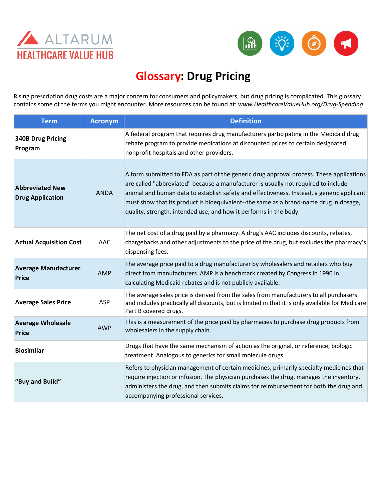



## **Glossary: Drug Pricing**

Rising prescription drug costs are a major concern for consumers and policymakers, but drug pricing is complicated. This glossary contains some of the terms you might encounter. More resources can be found at: w*ww.HealthcareValueHub.org/Drug-Spending*

| <b>Term</b>                                       | <b>Acronym</b> | <b>Definition</b>                                                                                                                                                                                                                                                                                                                                                                                                                         |
|---------------------------------------------------|----------------|-------------------------------------------------------------------------------------------------------------------------------------------------------------------------------------------------------------------------------------------------------------------------------------------------------------------------------------------------------------------------------------------------------------------------------------------|
| <b>340B Drug Pricing</b><br>Program               |                | A federal program that requires drug manufacturers participating in the Medicaid drug<br>rebate program to provide medications at discounted prices to certain designated<br>nonprofit hospitals and other providers.                                                                                                                                                                                                                     |
| <b>Abbreviated New</b><br><b>Drug Application</b> | <b>ANDA</b>    | A form submitted to FDA as part of the generic drug approval process. These applications<br>are called "abbreviated" because a manufacturer is usually not required to include<br>animal and human data to establish safety and effectiveness. Instead, a generic applicant<br>must show that its product is bioequivalent--the same as a brand-name drug in dosage,<br>quality, strength, intended use, and how it performs in the body. |
| <b>Actual Acquisition Cost</b>                    | AAC            | The net cost of a drug paid by a pharmacy. A drug's AAC includes discounts, rebates,<br>chargebacks and other adjustments to the price of the drug, but excludes the pharmacy's<br>dispensing fees.                                                                                                                                                                                                                                       |
| <b>Average Manufacturer</b><br><b>Price</b>       | <b>AMP</b>     | The average price paid to a drug manufacturer by wholesalers and retailers who buy<br>direct from manufacturers. AMP is a benchmark created by Congress in 1990 in<br>calculating Medicaid rebates and is not publicly available.                                                                                                                                                                                                         |
| <b>Average Sales Price</b>                        | ASP            | The average sales price is derived from the sales from manufacturers to all purchasers<br>and includes practically all discounts, but is limited in that it is only available for Medicare<br>Part B covered drugs.                                                                                                                                                                                                                       |
| <b>Average Wholesale</b><br><b>Price</b>          | <b>AWP</b>     | This is a measurement of the price paid by pharmacies to purchase drug products from<br>wholesalers in the supply chain.                                                                                                                                                                                                                                                                                                                  |
| <b>Biosimilar</b>                                 |                | Drugs that have the same mechanism of action as the original, or reference, biologic<br>treatment. Analogous to generics for small molecule drugs.                                                                                                                                                                                                                                                                                        |
| "Buy and Build"                                   |                | Refers to physician management of certain medicines, primarily specialty medicines that<br>require injection or infusion. The physician purchases the drug, manages the inventory,<br>administers the drug, and then submits claims for reimbursement for both the drug and<br>accompanying professional services.                                                                                                                        |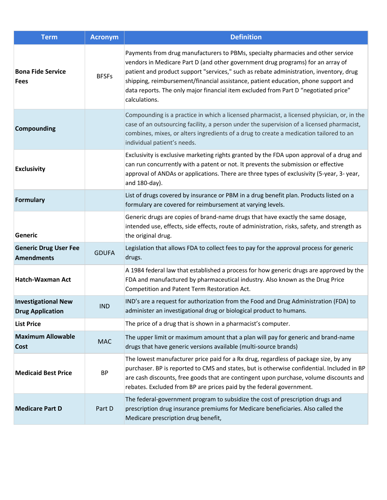| <b>Term</b>                                           | <b>Acronym</b> | <b>Definition</b>                                                                                                                                                                                                                                                                                                                                                                                                                                           |
|-------------------------------------------------------|----------------|-------------------------------------------------------------------------------------------------------------------------------------------------------------------------------------------------------------------------------------------------------------------------------------------------------------------------------------------------------------------------------------------------------------------------------------------------------------|
| <b>Bona Fide Service</b><br><b>Fees</b>               | <b>BFSFs</b>   | Payments from drug manufacturers to PBMs, specialty pharmacies and other service<br>vendors in Medicare Part D (and other government drug programs) for an array of<br>patient and product support "services," such as rebate administration, inventory, drug<br>shipping, reimbursement/financial assistance, patient education, phone support and<br>data reports. The only major financial item excluded from Part D "negotiated price"<br>calculations. |
| <b>Compounding</b>                                    |                | Compounding is a practice in which a licensed pharmacist, a licensed physician, or, in the<br>case of an outsourcing facility, a person under the supervision of a licensed pharmacist,<br>combines, mixes, or alters ingredients of a drug to create a medication tailored to an<br>individual patient's needs.                                                                                                                                            |
| <b>Exclusivity</b>                                    |                | Exclusivity is exclusive marketing rights granted by the FDA upon approval of a drug and<br>can run concurrently with a patent or not. It prevents the submission or effective<br>approval of ANDAs or applications. There are three types of exclusivity (5-year, 3-year,<br>and 180-day).                                                                                                                                                                 |
| <b>Formulary</b>                                      |                | List of drugs covered by insurance or PBM in a drug benefit plan. Products listed on a<br>formulary are covered for reimbursement at varying levels.                                                                                                                                                                                                                                                                                                        |
| Generic                                               |                | Generic drugs are copies of brand-name drugs that have exactly the same dosage,<br>intended use, effects, side effects, route of administration, risks, safety, and strength as<br>the original drug.                                                                                                                                                                                                                                                       |
| <b>Generic Drug User Fee</b><br><b>Amendments</b>     | <b>GDUFA</b>   | Legislation that allows FDA to collect fees to pay for the approval process for generic<br>drugs.                                                                                                                                                                                                                                                                                                                                                           |
| <b>Hatch-Waxman Act</b>                               |                | A 1984 federal law that established a process for how generic drugs are approved by the<br>FDA and manufactured by pharmaceutical industry. Also known as the Drug Price<br>Competition and Patent Term Restoration Act.                                                                                                                                                                                                                                    |
| <b>Investigational New</b><br><b>Drug Application</b> | <b>IND</b>     | IND's are a request for authorization from the Food and Drug Administration (FDA) to<br>administer an investigational drug or biological product to humans.                                                                                                                                                                                                                                                                                                 |
| <b>List Price</b>                                     |                | The price of a drug that is shown in a pharmacist's computer.                                                                                                                                                                                                                                                                                                                                                                                               |
| <b>Maximum Allowable</b><br><b>Cost</b>               | <b>MAC</b>     | The upper limit or maximum amount that a plan will pay for generic and brand-name<br>drugs that have generic versions available (multi-source brands)                                                                                                                                                                                                                                                                                                       |
| <b>Medicaid Best Price</b>                            | BP             | The lowest manufacturer price paid for a Rx drug, regardless of package size, by any<br>purchaser. BP is reported to CMS and states, but is otherwise confidential. Included in BP<br>are cash discounts, free goods that are contingent upon purchase, volume discounts and<br>rebates. Excluded from BP are prices paid by the federal government.                                                                                                        |
| <b>Medicare Part D</b>                                | Part D         | The federal-government program to subsidize the cost of prescription drugs and<br>prescription drug insurance premiums for Medicare beneficiaries. Also called the<br>Medicare prescription drug benefit,                                                                                                                                                                                                                                                   |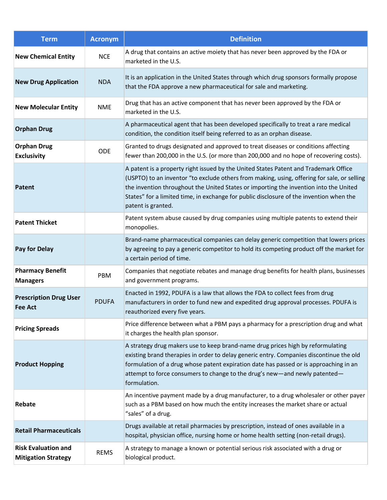| <b>Term</b>                                              | <b>Acronym</b> | <b>Definition</b>                                                                                                                                                                                                                                                                                                                                                                             |
|----------------------------------------------------------|----------------|-----------------------------------------------------------------------------------------------------------------------------------------------------------------------------------------------------------------------------------------------------------------------------------------------------------------------------------------------------------------------------------------------|
| <b>New Chemical Entity</b>                               | <b>NCE</b>     | A drug that contains an active moiety that has never been approved by the FDA or<br>marketed in the U.S.                                                                                                                                                                                                                                                                                      |
| <b>New Drug Application</b>                              | <b>NDA</b>     | It is an application in the United States through which drug sponsors formally propose<br>that the FDA approve a new pharmaceutical for sale and marketing.                                                                                                                                                                                                                                   |
| <b>New Molecular Entity</b>                              | <b>NME</b>     | Drug that has an active component that has never been approved by the FDA or<br>marketed in the U.S.                                                                                                                                                                                                                                                                                          |
| <b>Orphan Drug</b>                                       |                | A pharmaceutical agent that has been developed specifically to treat a rare medical<br>condition, the condition itself being referred to as an orphan disease.                                                                                                                                                                                                                                |
| <b>Orphan Drug</b><br><b>Exclusivity</b>                 | <b>ODE</b>     | Granted to drugs designated and approved to treat diseases or conditions affecting<br>fewer than 200,000 in the U.S. (or more than 200,000 and no hope of recovering costs).                                                                                                                                                                                                                  |
| <b>Patent</b>                                            |                | A patent is a property right issued by the United States Patent and Trademark Office<br>(USPTO) to an inventor "to exclude others from making, using, offering for sale, or selling<br>the invention throughout the United States or importing the invention into the United<br>States" for a limited time, in exchange for public disclosure of the invention when the<br>patent is granted. |
| <b>Patent Thicket</b>                                    |                | Patent system abuse caused by drug companies using multiple patents to extend their<br>monopolies.                                                                                                                                                                                                                                                                                            |
| Pay for Delay                                            |                | Brand-name pharmaceutical companies can delay generic competition that lowers prices<br>by agreeing to pay a generic competitor to hold its competing product off the market for<br>a certain period of time.                                                                                                                                                                                 |
| <b>Pharmacy Benefit</b><br><b>Managers</b>               | PBM            | Companies that negotiate rebates and manage drug benefits for health plans, businesses<br>and government programs.                                                                                                                                                                                                                                                                            |
| <b>Prescription Drug User</b><br><b>Fee Act</b>          | <b>PDUFA</b>   | Enacted in 1992, PDUFA is a law that allows the FDA to collect fees from drug<br>manufacturers in order to fund new and expedited drug approval processes. PDUFA is<br>reauthorized every five years.                                                                                                                                                                                         |
| <b>Pricing Spreads</b>                                   |                | Price difference between what a PBM pays a pharmacy for a prescription drug and what<br>it charges the health plan sponsor.                                                                                                                                                                                                                                                                   |
| <b>Product Hopping</b>                                   |                | A strategy drug makers use to keep brand-name drug prices high by reformulating<br>existing brand therapies in order to delay generic entry. Companies discontinue the old<br>formulation of a drug whose patent expiration date has passed or is approaching in an<br>attempt to force consumers to change to the drug's new-and newly patented-<br>formulation.                             |
| Rebate                                                   |                | An incentive payment made by a drug manufacturer, to a drug wholesaler or other payer<br>such as a PBM based on how much the entity increases the market share or actual<br>"sales" of a drug.                                                                                                                                                                                                |
| <b>Retail Pharmaceuticals</b>                            |                | Drugs available at retail pharmacies by prescription, instead of ones available in a<br>hospital, physician office, nursing home or home health setting (non-retail drugs).                                                                                                                                                                                                                   |
| <b>Risk Evaluation and</b><br><b>Mitigation Strategy</b> | <b>REMS</b>    | A strategy to manage a known or potential serious risk associated with a drug or<br>biological product.                                                                                                                                                                                                                                                                                       |